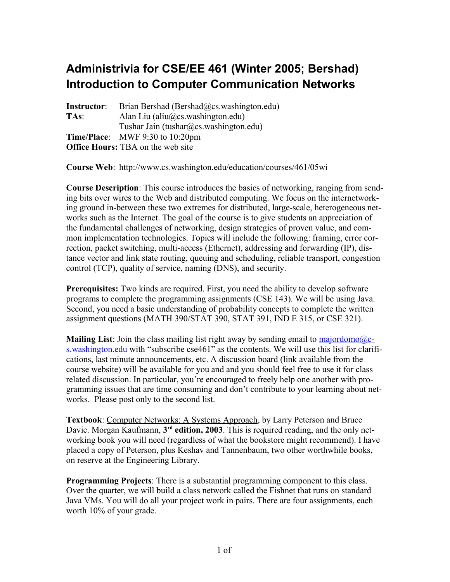## **Administrivia for CSE/EE 461 (Winter 2005; Bershad) Introduction to Computer Communication Networks**

**Instructor**: Brian Bershad (Bershad@cs.washington.edu) **TAs**: Alan Liu (aliu@cs.washington.edu) Tushar Jain (tushar@cs.washington.edu) **Time/Place**: MWF 9:30 to 10:20pm **Office Hours:** TBA on the web site

**Course Web**: http://www.cs.washington.edu/education/courses/461/05wi

**Course Description**: This course introduces the basics of networking, ranging from sending bits over wires to the Web and distributed computing. We focus on the internetworking ground in-between these two extremes for distributed, large-scale, heterogeneous networks such as the Internet. The goal of the course is to give students an appreciation of the fundamental challenges of networking, design strategies of proven value, and common implementation technologies. Topics will include the following: framing, error correction, packet switching, multi-access (Ethernet), addressing and forwarding (IP), distance vector and link state routing, queuing and scheduling, reliable transport, congestion control (TCP), quality of service, naming (DNS), and security.

**Prerequisites:** Two kinds are required. First, you need the ability to develop software programs to complete the programming assignments (CSE 143). We will be using Java. Second, you need a basic understanding of probability concepts to complete the written assignment questions (MATH 390/STAT 390, STAT 391, IND E 315, or CSE 321).

**Mailing List**: Join the class mailing list right away by sending email to majordomo@cs.washington.edu with "subscribe cse461" as the contents. We will use this list for clarifications, last minute announcements, etc. A discussion board (link available from the course website) will be available for you and and you should feel free to use it for class related discussion. In particular, you're encouraged to freely help one another with programming issues that are time consuming and don't contribute to your learning about networks. Please post only to the second list.

**Textbook**: Computer Networks: A Systems Approach, by Larry Peterson and Bruce Davie. Morgan Kaufmann, 3<sup>rd</sup> edition, 2003. This is required reading, and the only networking book you will need (regardless of what the bookstore might recommend). I have placed a copy of Peterson, plus Keshav and Tannenbaum, two other worthwhile books, on reserve at the Engineering Library.

**Programming Projects**: There is a substantial programming component to this class. Over the quarter, we will build a class network called the Fishnet that runs on standard Java VMs. You will do all your project work in pairs. There are four assignments, each worth 10% of your grade.